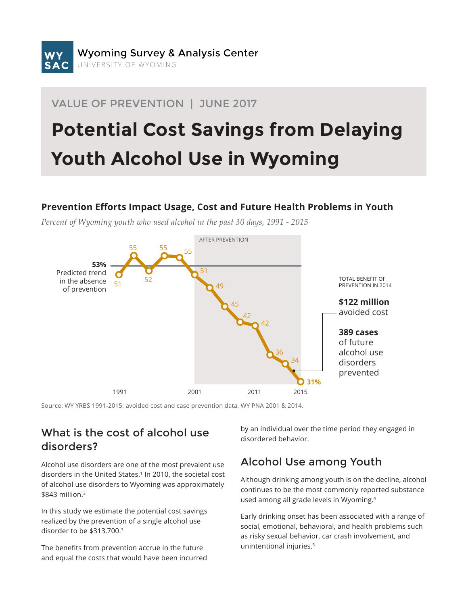# VALUE OF PREVENTION | JUNE 2017

# **Potential Cost Savings from Delaying Youth Alcohol Use in Wyoming**

#### **Prevention Efforts Impact Usage, Cost and Future Health Problems in Youth**

*Percent of Wyoming youth who used alcohol in the past 30 days, 1991 - 2015*



Source: WY YRBS 1991-2015; avoided cost and case prevention data, WY PNA 2001 & 2014.

# What is the cost of alcohol use disorders?

Alcohol use disorders are one of the most prevalent use disorders in the United States.<sup>1</sup> In 2010, the societal cost of alcohol use disorders to Wyoming was approximately \$843 million.2

In this study we estimate the potential cost savings realized by the prevention of a single alcohol use disorder to be \$313,700.3

The benefits from prevention accrue in the future and equal the costs that would have been incurred by an individual over the time period they engaged in disordered behavior.

# Alcohol Use among Youth

Although drinking among youth is on the decline, alcohol continues to be the most commonly reported substance used among all grade levels in Wyoming.4

Early drinking onset has been associated with a range of social, emotional, behavioral, and health problems such as risky sexual behavior, car crash involvement, and unintentional injuries.5